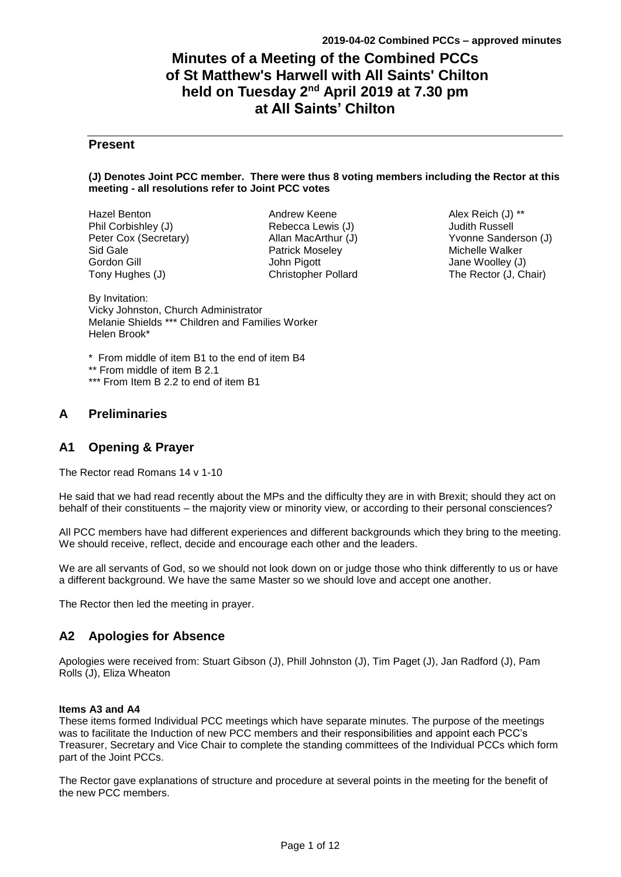# **Minutes of a Meeting of the Combined PCCs of St Matthew's Harwell with All Saints' Chilton held on Tuesday 2<sup>nd</sup> April 2019 at 7.30 pm at All Saints' Chilton**

# **Present**

#### **(J) Denotes Joint PCC member. There were thus 8 voting members including the Rector at this meeting - all resolutions refer to Joint PCC votes**

| <b>Hazel Benton</b>   |
|-----------------------|
| Phil Corbishley (J)   |
| Peter Cox (Secretary) |
| Sid Gale              |
| Gordon Gill           |
| Tony Hughes (J)       |

Andrew Keene Rebecca Lewis (J) Allan MacArthur (J) Patrick Moseley John Pigott Christopher Pollard

Alex Reich (J) \*\* Judith Russell Yvonne Sanderson (J) Michelle Walker Jane Woolley (J) The Rector (J, Chair)

By Invitation: Vicky Johnston, Church Administrator Melanie Shields \*\*\* Children and Families Worker Helen Brook\*

\* From middle of item B1 to the end of item B4

\*\* From middle of item B 2.1

\*\*\* From Item B 2.2 to end of item B1

# **A Preliminaries**

# **A1 Opening & Prayer**

The Rector read Romans 14 v 1-10

He said that we had read recently about the MPs and the difficulty they are in with Brexit; should they act on behalf of their constituents – the majority view or minority view, or according to their personal consciences?

All PCC members have had different experiences and different backgrounds which they bring to the meeting. We should receive, reflect, decide and encourage each other and the leaders.

We are all servants of God, so we should not look down on or judge those who think differently to us or have a different background. We have the same Master so we should love and accept one another.

The Rector then led the meeting in prayer.

# **A2 Apologies for Absence**

Apologies were received from: Stuart Gibson (J), Phill Johnston (J), Tim Paget (J), Jan Radford (J), Pam Rolls (J), Eliza Wheaton

## **Items A3 and A4**

These items formed Individual PCC meetings which have separate minutes. The purpose of the meetings was to facilitate the Induction of new PCC members and their responsibilities and appoint each PCC's Treasurer, Secretary and Vice Chair to complete the standing committees of the Individual PCCs which form part of the Joint PCCs.

The Rector gave explanations of structure and procedure at several points in the meeting for the benefit of the new PCC members.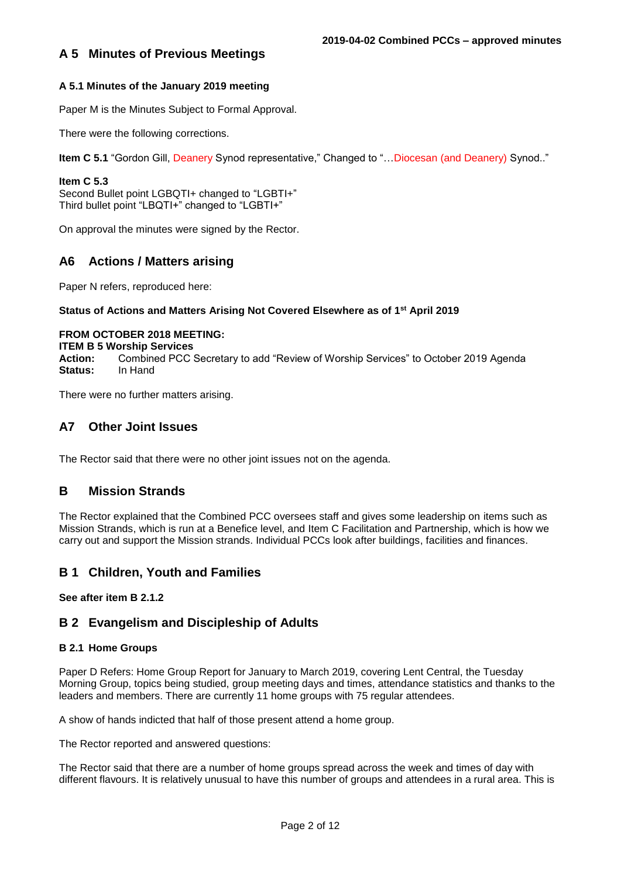## **A 5.1 Minutes of the January 2019 meeting**

Paper M is the Minutes Subject to Formal Approval.

There were the following corrections.

**Item C 5.1** "Gordon Gill, Deanery Synod representative," Changed to "…Diocesan (and Deanery) Synod.."

#### **Item C 5.3**

Second Bullet point LGBQTI+ changed to "LGBTI+" Third bullet point "LBQTI+" changed to "LGBTI+"

On approval the minutes were signed by the Rector.

# **A6 Actions / Matters arising**

Paper N refers, reproduced here:

## **Status of Actions and Matters Arising Not Covered Elsewhere as of 1st April 2019**

#### **FROM OCTOBER 2018 MEETING:**

**ITEM B 5 Worship Services**

**Action:** Combined PCC Secretary to add "Review of Worship Services" to October 2019 Agenda **Status:** In Hand

There were no further matters arising.

# **A7 Other Joint Issues**

The Rector said that there were no other joint issues not on the agenda.

# **B Mission Strands**

The Rector explained that the Combined PCC oversees staff and gives some leadership on items such as Mission Strands, which is run at a Benefice level, and Item C Facilitation and Partnership, which is how we carry out and support the Mission strands. Individual PCCs look after buildings, facilities and finances.

# **B 1 Children, Youth and Families**

**See after item B 2.1.2**

# **B 2 Evangelism and Discipleship of Adults**

#### **B 2.1 Home Groups**

Paper D Refers: Home Group Report for January to March 2019, covering Lent Central, the Tuesday Morning Group, topics being studied, group meeting days and times, attendance statistics and thanks to the leaders and members. There are currently 11 home groups with 75 regular attendees.

A show of hands indicted that half of those present attend a home group.

The Rector reported and answered questions:

The Rector said that there are a number of home groups spread across the week and times of day with different flavours. It is relatively unusual to have this number of groups and attendees in a rural area. This is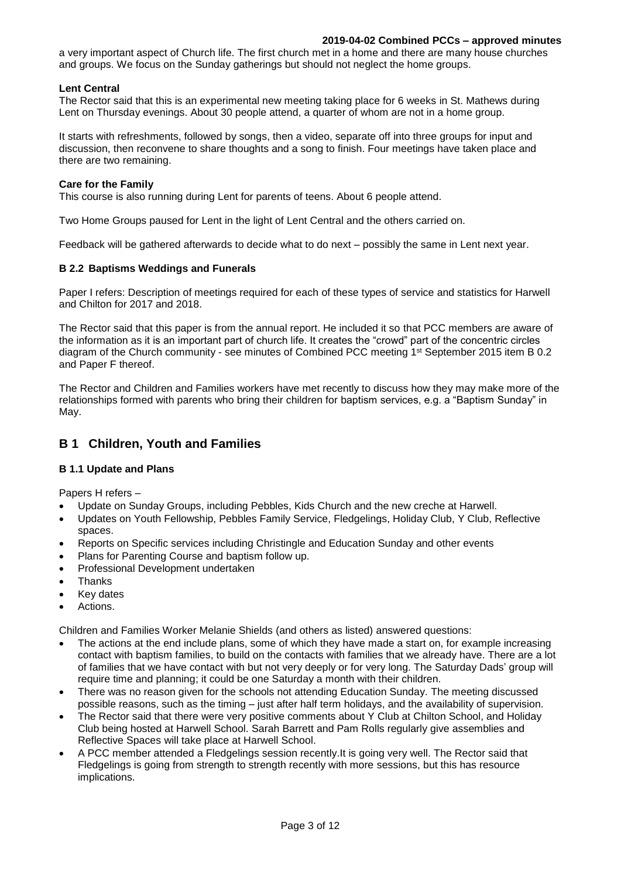#### **2019-04-02 Combined PCCs – approved minutes**

a very important aspect of Church life. The first church met in a home and there are many house churches and groups. We focus on the Sunday gatherings but should not neglect the home groups.

#### **Lent Central**

The Rector said that this is an experimental new meeting taking place for 6 weeks in St. Mathews during Lent on Thursday evenings. About 30 people attend, a quarter of whom are not in a home group.

It starts with refreshments, followed by songs, then a video, separate off into three groups for input and discussion, then reconvene to share thoughts and a song to finish. Four meetings have taken place and there are two remaining.

#### **Care for the Family**

This course is also running during Lent for parents of teens. About 6 people attend.

Two Home Groups paused for Lent in the light of Lent Central and the others carried on.

Feedback will be gathered afterwards to decide what to do next – possibly the same in Lent next year.

#### **B 2.2 Baptisms Weddings and Funerals**

Paper I refers: Description of meetings required for each of these types of service and statistics for Harwell and Chilton for 2017 and 2018.

The Rector said that this paper is from the annual report. He included it so that PCC members are aware of the information as it is an important part of church life. It creates the "crowd" part of the concentric circles diagram of the Church community - see minutes of Combined PCC meeting 1st September 2015 item B 0.2 and Paper F thereof.

The Rector and Children and Families workers have met recently to discuss how they may make more of the relationships formed with parents who bring their children for baptism services, e.g. a "Baptism Sunday" in May.

# **B 1 Children, Youth and Families**

## **B 1.1 Update and Plans**

Papers H refers –

- Update on Sunday Groups, including Pebbles, Kids Church and the new creche at Harwell.
- Updates on Youth Fellowship, Pebbles Family Service, Fledgelings, Holiday Club, Y Club, Reflective spaces.
- Reports on Specific services including Christingle and Education Sunday and other events
- Plans for Parenting Course and baptism follow up.
- Professional Development undertaken
- Thanks
- **Key dates**
- Actions.

Children and Families Worker Melanie Shields (and others as listed) answered questions:

- The actions at the end include plans, some of which they have made a start on, for example increasing contact with baptism families, to build on the contacts with families that we already have. There are a lot of families that we have contact with but not very deeply or for very long. The Saturday Dads' group will require time and planning; it could be one Saturday a month with their children.
- There was no reason given for the schools not attending Education Sunday. The meeting discussed possible reasons, such as the timing – just after half term holidays, and the availability of supervision.
- The Rector said that there were very positive comments about Y Club at Chilton School, and Holiday Club being hosted at Harwell School. Sarah Barrett and Pam Rolls regularly give assemblies and Reflective Spaces will take place at Harwell School.
- A PCC member attended a Fledgelings session recently.It is going very well. The Rector said that Fledgelings is going from strength to strength recently with more sessions, but this has resource implications.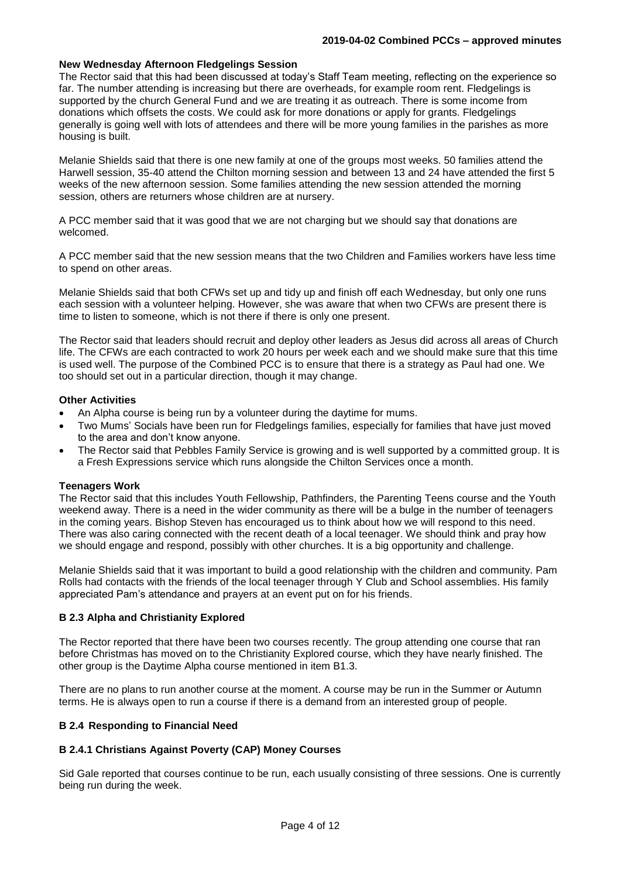#### **New Wednesday Afternoon Fledgelings Session**

The Rector said that this had been discussed at today's Staff Team meeting, reflecting on the experience so far. The number attending is increasing but there are overheads, for example room rent. Fledgelings is supported by the church General Fund and we are treating it as outreach. There is some income from donations which offsets the costs. We could ask for more donations or apply for grants. Fledgelings generally is going well with lots of attendees and there will be more young families in the parishes as more housing is built.

Melanie Shields said that there is one new family at one of the groups most weeks. 50 families attend the Harwell session, 35-40 attend the Chilton morning session and between 13 and 24 have attended the first 5 weeks of the new afternoon session. Some families attending the new session attended the morning session, others are returners whose children are at nursery.

A PCC member said that it was good that we are not charging but we should say that donations are welcomed.

A PCC member said that the new session means that the two Children and Families workers have less time to spend on other areas.

Melanie Shields said that both CFWs set up and tidy up and finish off each Wednesday, but only one runs each session with a volunteer helping. However, she was aware that when two CFWs are present there is time to listen to someone, which is not there if there is only one present.

The Rector said that leaders should recruit and deploy other leaders as Jesus did across all areas of Church life. The CFWs are each contracted to work 20 hours per week each and we should make sure that this time is used well. The purpose of the Combined PCC is to ensure that there is a strategy as Paul had one. We too should set out in a particular direction, though it may change.

#### **Other Activities**

- An Alpha course is being run by a volunteer during the daytime for mums.
- Two Mums' Socials have been run for Fledgelings families, especially for families that have just moved to the area and don't know anyone.
- The Rector said that Pebbles Family Service is growing and is well supported by a committed group. It is a Fresh Expressions service which runs alongside the Chilton Services once a month.

#### **Teenagers Work**

The Rector said that this includes Youth Fellowship, Pathfinders, the Parenting Teens course and the Youth weekend away. There is a need in the wider community as there will be a bulge in the number of teenagers in the coming years. Bishop Steven has encouraged us to think about how we will respond to this need. There was also caring connected with the recent death of a local teenager. We should think and pray how we should engage and respond, possibly with other churches. It is a big opportunity and challenge.

Melanie Shields said that it was important to build a good relationship with the children and community. Pam Rolls had contacts with the friends of the local teenager through Y Club and School assemblies. His family appreciated Pam's attendance and prayers at an event put on for his friends.

#### **B 2.3 Alpha and Christianity Explored**

The Rector reported that there have been two courses recently. The group attending one course that ran before Christmas has moved on to the Christianity Explored course, which they have nearly finished. The other group is the Daytime Alpha course mentioned in item B1.3.

There are no plans to run another course at the moment. A course may be run in the Summer or Autumn terms. He is always open to run a course if there is a demand from an interested group of people.

#### **B 2.4 Responding to Financial Need**

## **B 2.4.1 Christians Against Poverty (CAP) Money Courses**

Sid Gale reported that courses continue to be run, each usually consisting of three sessions. One is currently being run during the week.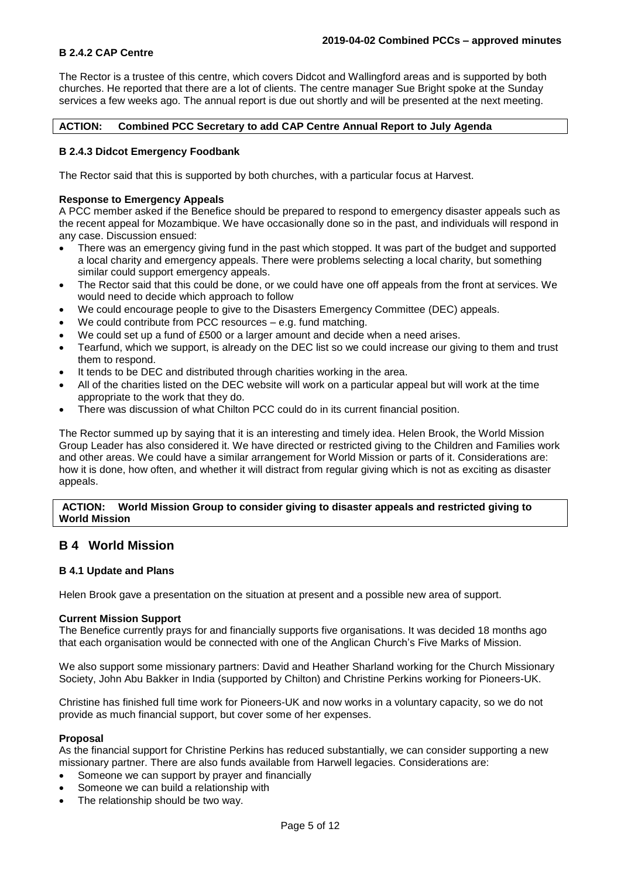### **B 2.4.2 CAP Centre**

The Rector is a trustee of this centre, which covers Didcot and Wallingford areas and is supported by both churches. He reported that there are a lot of clients. The centre manager Sue Bright spoke at the Sunday services a few weeks ago. The annual report is due out shortly and will be presented at the next meeting.

**ACTION: Combined PCC Secretary to add CAP Centre Annual Report to July Agenda**

### **B 2.4.3 Didcot Emergency Foodbank**

The Rector said that this is supported by both churches, with a particular focus at Harvest.

#### **Response to Emergency Appeals**

A PCC member asked if the Benefice should be prepared to respond to emergency disaster appeals such as the recent appeal for Mozambique. We have occasionally done so in the past, and individuals will respond in any case. Discussion ensued:

- There was an emergency giving fund in the past which stopped. It was part of the budget and supported a local charity and emergency appeals. There were problems selecting a local charity, but something similar could support emergency appeals.
- The Rector said that this could be done, or we could have one off appeals from the front at services. We would need to decide which approach to follow
- We could encourage people to give to the Disasters Emergency Committee (DEC) appeals.
- We could contribute from PCC resources  $-$  e.g. fund matching.
- We could set up a fund of £500 or a larger amount and decide when a need arises.
- Tearfund, which we support, is already on the DEC list so we could increase our giving to them and trust them to respond.
- It tends to be DEC and distributed through charities working in the area.
- All of the charities listed on the DEC website will work on a particular appeal but will work at the time appropriate to the work that they do.
- There was discussion of what Chilton PCC could do in its current financial position.

The Rector summed up by saying that it is an interesting and timely idea. Helen Brook, the World Mission Group Leader has also considered it. We have directed or restricted giving to the Children and Families work and other areas. We could have a similar arrangement for World Mission or parts of it. Considerations are: how it is done, how often, and whether it will distract from regular giving which is not as exciting as disaster appeals.

#### **ACTION: World Mission Group to consider giving to disaster appeals and restricted giving to World Mission**

# **B 4 World Mission**

#### **B 4.1 Update and Plans**

Helen Brook gave a presentation on the situation at present and a possible new area of support.

#### **Current Mission Support**

The Benefice currently prays for and financially supports five organisations. It was decided 18 months ago that each organisation would be connected with one of the Anglican Church's Five Marks of Mission.

We also support some missionary partners: David and Heather Sharland working for the Church Missionary Society, John Abu Bakker in India (supported by Chilton) and Christine Perkins working for Pioneers-UK.

Christine has finished full time work for Pioneers-UK and now works in a voluntary capacity, so we do not provide as much financial support, but cover some of her expenses.

#### **Proposal**

As the financial support for Christine Perkins has reduced substantially, we can consider supporting a new missionary partner. There are also funds available from Harwell legacies. Considerations are:

- Someone we can support by prayer and financially
- Someone we can build a relationship with
- The relationship should be two way.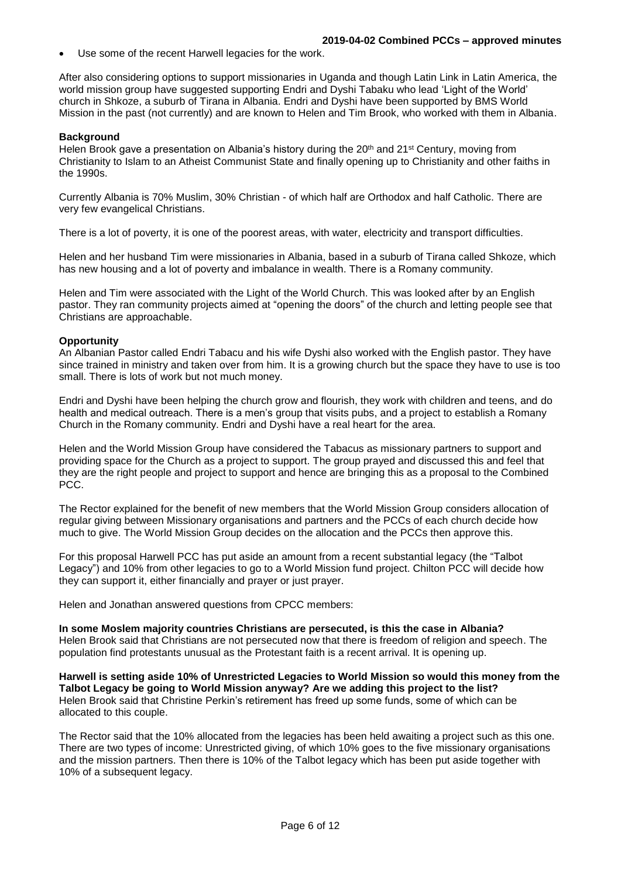Use some of the recent Harwell legacies for the work.

After also considering options to support missionaries in Uganda and though Latin Link in Latin America, the world mission group have suggested supporting Endri and Dyshi Tabaku who lead 'Light of the World' church in Shkoze, a suburb of Tirana in Albania. Endri and Dyshi have been supported by BMS World Mission in the past (not currently) and are known to Helen and Tim Brook, who worked with them in Albania.

## **Background**

Helen Brook gave a presentation on Albania's history during the 20<sup>th</sup> and 21<sup>st</sup> Century, moving from Christianity to Islam to an Atheist Communist State and finally opening up to Christianity and other faiths in the 1990s.

Currently Albania is 70% Muslim, 30% Christian - of which half are Orthodox and half Catholic. There are very few evangelical Christians.

There is a lot of poverty, it is one of the poorest areas, with water, electricity and transport difficulties.

Helen and her husband Tim were missionaries in Albania, based in a suburb of Tirana called Shkoze, which has new housing and a lot of poverty and imbalance in wealth. There is a Romany community.

Helen and Tim were associated with the Light of the World Church. This was looked after by an English pastor. They ran community projects aimed at "opening the doors" of the church and letting people see that Christians are approachable.

## **Opportunity**

An Albanian Pastor called Endri Tabacu and his wife Dyshi also worked with the English pastor. They have since trained in ministry and taken over from him. It is a growing church but the space they have to use is too small. There is lots of work but not much money.

Endri and Dyshi have been helping the church grow and flourish, they work with children and teens, and do health and medical outreach. There is a men's group that visits pubs, and a project to establish a Romany Church in the Romany community. Endri and Dyshi have a real heart for the area.

Helen and the World Mission Group have considered the Tabacus as missionary partners to support and providing space for the Church as a project to support. The group prayed and discussed this and feel that they are the right people and project to support and hence are bringing this as a proposal to the Combined PCC.

The Rector explained for the benefit of new members that the World Mission Group considers allocation of regular giving between Missionary organisations and partners and the PCCs of each church decide how much to give. The World Mission Group decides on the allocation and the PCCs then approve this.

For this proposal Harwell PCC has put aside an amount from a recent substantial legacy (the "Talbot Legacy") and 10% from other legacies to go to a World Mission fund project. Chilton PCC will decide how they can support it, either financially and prayer or just prayer.

Helen and Jonathan answered questions from CPCC members:

**In some Moslem majority countries Christians are persecuted, is this the case in Albania?**  Helen Brook said that Christians are not persecuted now that there is freedom of religion and speech. The population find protestants unusual as the Protestant faith is a recent arrival. It is opening up.

**Harwell is setting aside 10% of Unrestricted Legacies to World Mission so would this money from the Talbot Legacy be going to World Mission anyway? Are we adding this project to the list?** Helen Brook said that Christine Perkin's retirement has freed up some funds, some of which can be allocated to this couple.

The Rector said that the 10% allocated from the legacies has been held awaiting a project such as this one. There are two types of income: Unrestricted giving, of which 10% goes to the five missionary organisations and the mission partners. Then there is 10% of the Talbot legacy which has been put aside together with 10% of a subsequent legacy.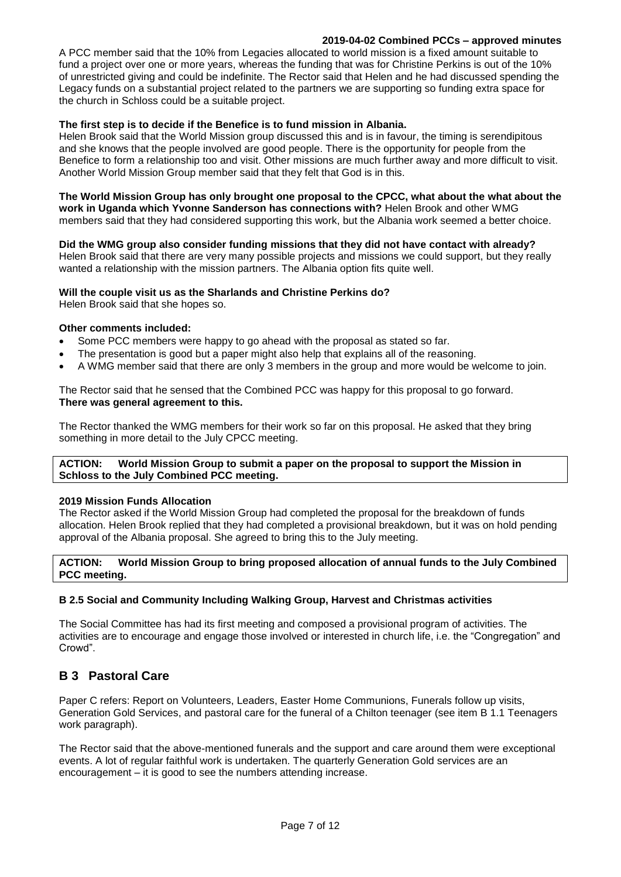#### **2019-04-02 Combined PCCs – approved minutes**

A PCC member said that the 10% from Legacies allocated to world mission is a fixed amount suitable to fund a project over one or more years, whereas the funding that was for Christine Perkins is out of the 10% of unrestricted giving and could be indefinite. The Rector said that Helen and he had discussed spending the Legacy funds on a substantial project related to the partners we are supporting so funding extra space for the church in Schloss could be a suitable project.

## **The first step is to decide if the Benefice is to fund mission in Albania.**

Helen Brook said that the World Mission group discussed this and is in favour, the timing is serendipitous and she knows that the people involved are good people. There is the opportunity for people from the Benefice to form a relationship too and visit. Other missions are much further away and more difficult to visit. Another World Mission Group member said that they felt that God is in this.

**The World Mission Group has only brought one proposal to the CPCC, what about the what about the work in Uganda which Yvonne Sanderson has connections with?** Helen Brook and other WMG members said that they had considered supporting this work, but the Albania work seemed a better choice.

**Did the WMG group also consider funding missions that they did not have contact with already?**  Helen Brook said that there are very many possible projects and missions we could support, but they really

wanted a relationship with the mission partners. The Albania option fits quite well.

#### **Will the couple visit us as the Sharlands and Christine Perkins do?**

Helen Brook said that she hopes so.

#### **Other comments included:**

- Some PCC members were happy to go ahead with the proposal as stated so far.
- The presentation is good but a paper might also help that explains all of the reasoning.
- A WMG member said that there are only 3 members in the group and more would be welcome to join.

The Rector said that he sensed that the Combined PCC was happy for this proposal to go forward. **There was general agreement to this.**

The Rector thanked the WMG members for their work so far on this proposal. He asked that they bring something in more detail to the July CPCC meeting.

#### **ACTION: World Mission Group to submit a paper on the proposal to support the Mission in Schloss to the July Combined PCC meeting.**

#### **2019 Mission Funds Allocation**

The Rector asked if the World Mission Group had completed the proposal for the breakdown of funds allocation. Helen Brook replied that they had completed a provisional breakdown, but it was on hold pending approval of the Albania proposal. She agreed to bring this to the July meeting.

#### **ACTION: World Mission Group to bring proposed allocation of annual funds to the July Combined PCC meeting.**

## **B 2.5 Social and Community Including Walking Group, Harvest and Christmas activities**

The Social Committee has had its first meeting and composed a provisional program of activities. The activities are to encourage and engage those involved or interested in church life, i.e. the "Congregation" and Crowd".

# **B 3 Pastoral Care**

Paper C refers: Report on Volunteers, Leaders, Easter Home Communions, Funerals follow up visits, Generation Gold Services, and pastoral care for the funeral of a Chilton teenager (see item B 1.1 Teenagers work paragraph).

The Rector said that the above-mentioned funerals and the support and care around them were exceptional events. A lot of regular faithful work is undertaken. The quarterly Generation Gold services are an encouragement – it is good to see the numbers attending increase.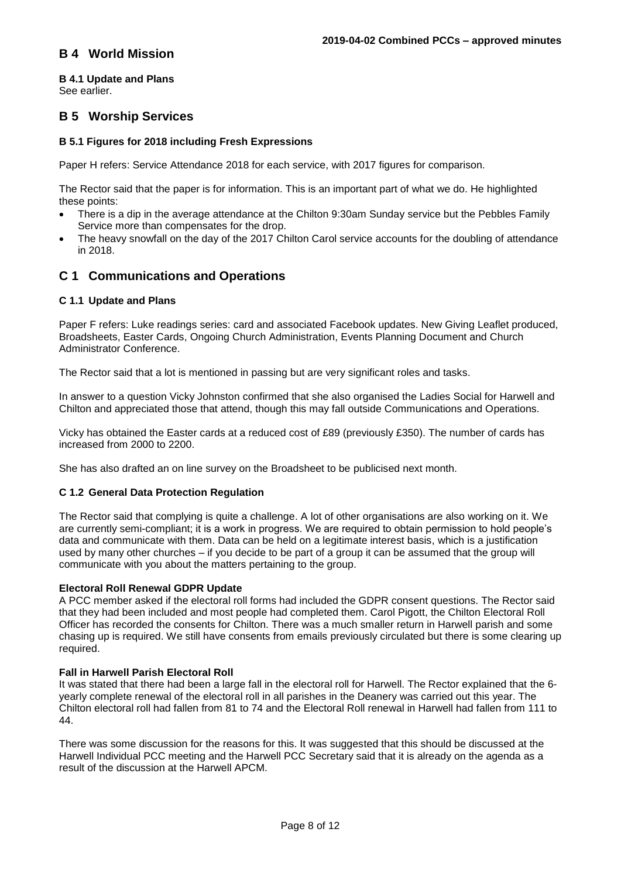# **B 4 World Mission**

# **B 4.1 Update and Plans**

See earlier.

# **B 5 Worship Services**

## **B 5.1 Figures for 2018 including Fresh Expressions**

Paper H refers: Service Attendance 2018 for each service, with 2017 figures for comparison.

The Rector said that the paper is for information. This is an important part of what we do. He highlighted these points:

- There is a dip in the average attendance at the Chilton 9:30am Sunday service but the Pebbles Family Service more than compensates for the drop.
- The heavy snowfall on the day of the 2017 Chilton Carol service accounts for the doubling of attendance in 2018.

# **C 1 Communications and Operations**

## **C 1.1 Update and Plans**

Paper F refers: Luke readings series: card and associated Facebook updates. New Giving Leaflet produced, Broadsheets, Easter Cards, Ongoing Church Administration, Events Planning Document and Church Administrator Conference.

The Rector said that a lot is mentioned in passing but are very significant roles and tasks.

In answer to a question Vicky Johnston confirmed that she also organised the Ladies Social for Harwell and Chilton and appreciated those that attend, though this may fall outside Communications and Operations.

Vicky has obtained the Easter cards at a reduced cost of £89 (previously £350). The number of cards has increased from 2000 to 2200.

She has also drafted an on line survey on the Broadsheet to be publicised next month.

## **C 1.2 General Data Protection Regulation**

The Rector said that complying is quite a challenge. A lot of other organisations are also working on it. We are currently semi-compliant; it is a work in progress. We are required to obtain permission to hold people's data and communicate with them. Data can be held on a legitimate interest basis, which is a justification used by many other churches – if you decide to be part of a group it can be assumed that the group will communicate with you about the matters pertaining to the group.

## **Electoral Roll Renewal GDPR Update**

A PCC member asked if the electoral roll forms had included the GDPR consent questions. The Rector said that they had been included and most people had completed them. Carol Pigott, the Chilton Electoral Roll Officer has recorded the consents for Chilton. There was a much smaller return in Harwell parish and some chasing up is required. We still have consents from emails previously circulated but there is some clearing up required.

## **Fall in Harwell Parish Electoral Roll**

It was stated that there had been a large fall in the electoral roll for Harwell. The Rector explained that the 6 yearly complete renewal of the electoral roll in all parishes in the Deanery was carried out this year. The Chilton electoral roll had fallen from 81 to 74 and the Electoral Roll renewal in Harwell had fallen from 111 to 44.

There was some discussion for the reasons for this. It was suggested that this should be discussed at the Harwell Individual PCC meeting and the Harwell PCC Secretary said that it is already on the agenda as a result of the discussion at the Harwell APCM.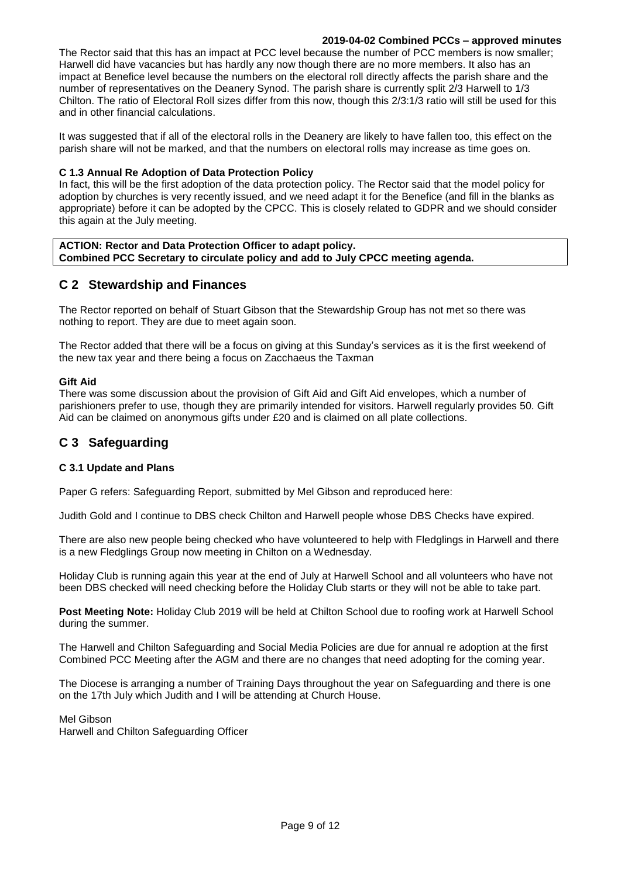#### **2019-04-02 Combined PCCs – approved minutes**

The Rector said that this has an impact at PCC level because the number of PCC members is now smaller; Harwell did have vacancies but has hardly any now though there are no more members. It also has an impact at Benefice level because the numbers on the electoral roll directly affects the parish share and the number of representatives on the Deanery Synod. The parish share is currently split 2/3 Harwell to 1/3 Chilton. The ratio of Electoral Roll sizes differ from this now, though this 2/3:1/3 ratio will still be used for this and in other financial calculations.

It was suggested that if all of the electoral rolls in the Deanery are likely to have fallen too, this effect on the parish share will not be marked, and that the numbers on electoral rolls may increase as time goes on.

### **C 1.3 Annual Re Adoption of Data Protection Policy**

In fact, this will be the first adoption of the data protection policy. The Rector said that the model policy for adoption by churches is very recently issued, and we need adapt it for the Benefice (and fill in the blanks as appropriate) before it can be adopted by the CPCC. This is closely related to GDPR and we should consider this again at the July meeting.

#### **ACTION: Rector and Data Protection Officer to adapt policy. Combined PCC Secretary to circulate policy and add to July CPCC meeting agenda.**

# **C 2 Stewardship and Finances**

The Rector reported on behalf of Stuart Gibson that the Stewardship Group has not met so there was nothing to report. They are due to meet again soon.

The Rector added that there will be a focus on giving at this Sunday's services as it is the first weekend of the new tax year and there being a focus on Zacchaeus the Taxman

#### **Gift Aid**

There was some discussion about the provision of Gift Aid and Gift Aid envelopes, which a number of parishioners prefer to use, though they are primarily intended for visitors. Harwell regularly provides 50. Gift Aid can be claimed on anonymous gifts under £20 and is claimed on all plate collections.

# **C 3 Safeguarding**

## **C 3.1 Update and Plans**

Paper G refers: Safeguarding Report, submitted by Mel Gibson and reproduced here:

Judith Gold and I continue to DBS check Chilton and Harwell people whose DBS Checks have expired.

There are also new people being checked who have volunteered to help with Fledglings in Harwell and there is a new Fledglings Group now meeting in Chilton on a Wednesday.

Holiday Club is running again this year at the end of July at Harwell School and all volunteers who have not been DBS checked will need checking before the Holiday Club starts or they will not be able to take part.

**Post Meeting Note:** Holiday Club 2019 will be held at Chilton School due to roofing work at Harwell School during the summer.

The Harwell and Chilton Safeguarding and Social Media Policies are due for annual re adoption at the first Combined PCC Meeting after the AGM and there are no changes that need adopting for the coming year.

The Diocese is arranging a number of Training Days throughout the year on Safeguarding and there is one on the 17th July which Judith and I will be attending at Church House.

Mel Gibson Harwell and Chilton Safeguarding Officer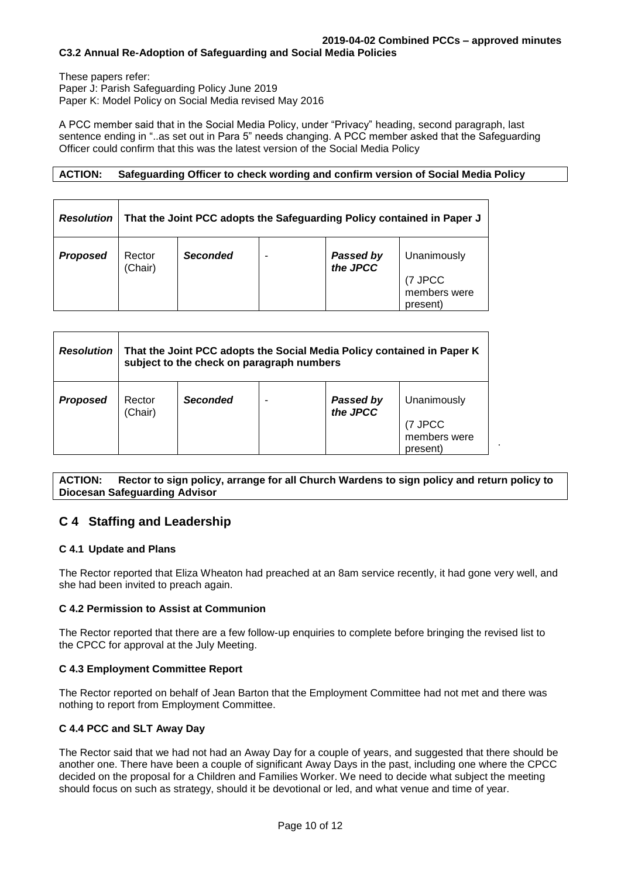#### **2019-04-02 Combined PCCs – approved minutes C3.2 Annual Re-Adoption of Safeguarding and Social Media Policies**

These papers refer: Paper J: Parish Safeguarding Policy June 2019 Paper K: Model Policy on Social Media revised May 2016

A PCC member said that in the Social Media Policy, under "Privacy" heading, second paragraph, last sentence ending in "..as set out in Para 5" needs changing. A PCC member asked that the Safeguarding Officer could confirm that this was the latest version of the Social Media Policy

## **ACTION: Safeguarding Officer to check wording and confirm version of Social Media Policy**

| <b>Resolution</b> | That the Joint PCC adopts the Safeguarding Policy contained in Paper J |                 |   |                              |                                                    |  |  |  |
|-------------------|------------------------------------------------------------------------|-----------------|---|------------------------------|----------------------------------------------------|--|--|--|
| <b>Proposed</b>   | Rector<br>(Chair)                                                      | <b>Seconded</b> | ۰ | <b>Passed by</b><br>the JPCC | Unanimously<br>(7 JPCC<br>members were<br>present) |  |  |  |

| <b>Resolution</b> | That the Joint PCC adopts the Social Media Policy contained in Paper K<br>subject to the check on paragraph numbers |                 |  |                       |                                                     |  |  |
|-------------------|---------------------------------------------------------------------------------------------------------------------|-----------------|--|-----------------------|-----------------------------------------------------|--|--|
| <b>Proposed</b>   | Rector<br>(Chair)                                                                                                   | <b>Seconded</b> |  | Passed by<br>the JPCC | Unanimously<br>(7 JPCC)<br>members were<br>present) |  |  |

**ACTION: Rector to sign policy, arrange for all Church Wardens to sign policy and return policy to Diocesan Safeguarding Advisor**

.

# **C 4 Staffing and Leadership**

## **C 4.1 Update and Plans**

The Rector reported that Eliza Wheaton had preached at an 8am service recently, it had gone very well, and she had been invited to preach again.

## **C 4.2 Permission to Assist at Communion**

The Rector reported that there are a few follow-up enquiries to complete before bringing the revised list to the CPCC for approval at the July Meeting.

## **C 4.3 Employment Committee Report**

The Rector reported on behalf of Jean Barton that the Employment Committee had not met and there was nothing to report from Employment Committee.

# **C 4.4 PCC and SLT Away Day**

The Rector said that we had not had an Away Day for a couple of years, and suggested that there should be another one. There have been a couple of significant Away Days in the past, including one where the CPCC decided on the proposal for a Children and Families Worker. We need to decide what subject the meeting should focus on such as strategy, should it be devotional or led, and what venue and time of year.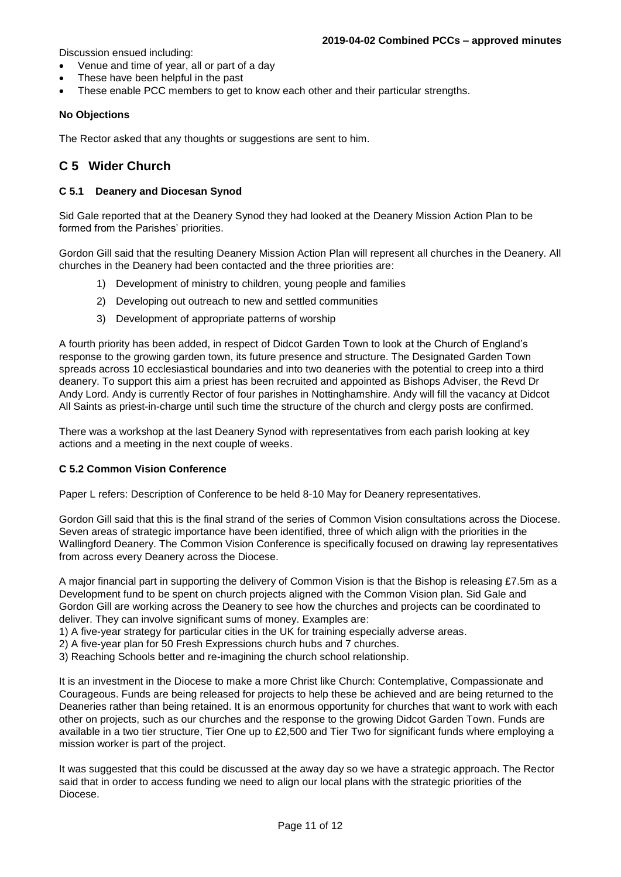Discussion ensued including:

- Venue and time of year, all or part of a day
- These have been helpful in the past
- These enable PCC members to get to know each other and their particular strengths.

#### **No Objections**

The Rector asked that any thoughts or suggestions are sent to him.

# **C 5 Wider Church**

#### **C 5.1 Deanery and Diocesan Synod**

Sid Gale reported that at the Deanery Synod they had looked at the Deanery Mission Action Plan to be formed from the Parishes' priorities.

Gordon Gill said that the resulting Deanery Mission Action Plan will represent all churches in the Deanery. All churches in the Deanery had been contacted and the three priorities are:

- 1) Development of ministry to children, young people and families
- 2) Developing out outreach to new and settled communities
- 3) Development of appropriate patterns of worship

A fourth priority has been added, in respect of Didcot Garden Town to look at the Church of England's response to the growing garden town, its future presence and structure. The Designated Garden Town spreads across 10 ecclesiastical boundaries and into two deaneries with the potential to creep into a third deanery. To support this aim a priest has been recruited and appointed as Bishops Adviser, the Revd Dr Andy Lord. Andy is currently Rector of four parishes in Nottinghamshire. Andy will fill the vacancy at Didcot All Saints as priest-in-charge until such time the structure of the church and clergy posts are confirmed.

There was a workshop at the last Deanery Synod with representatives from each parish looking at key actions and a meeting in the next couple of weeks.

#### **C 5.2 Common Vision Conference**

Paper L refers: Description of Conference to be held 8-10 May for Deanery representatives.

Gordon Gill said that this is the final strand of the series of Common Vision consultations across the Diocese. Seven areas of strategic importance have been identified, three of which align with the priorities in the Wallingford Deanery. The Common Vision Conference is specifically focused on drawing lay representatives from across every Deanery across the Diocese.

A major financial part in supporting the delivery of Common Vision is that the Bishop is releasing £7.5m as a Development fund to be spent on church projects aligned with the Common Vision plan. Sid Gale and Gordon Gill are working across the Deanery to see how the churches and projects can be coordinated to deliver. They can involve significant sums of money. Examples are:

- 1) A five-year strategy for particular cities in the UK for training especially adverse areas.
- 2) A five-year plan for 50 Fresh Expressions church hubs and 7 churches.
- 3) Reaching Schools better and re-imagining the church school relationship.

It is an investment in the Diocese to make a more Christ like Church: Contemplative, Compassionate and Courageous. Funds are being released for projects to help these be achieved and are being returned to the Deaneries rather than being retained. It is an enormous opportunity for churches that want to work with each other on projects, such as our churches and the response to the growing Didcot Garden Town. Funds are available in a two tier structure, Tier One up to £2,500 and Tier Two for significant funds where employing a mission worker is part of the project.

It was suggested that this could be discussed at the away day so we have a strategic approach. The Rector said that in order to access funding we need to align our local plans with the strategic priorities of the Diocese.